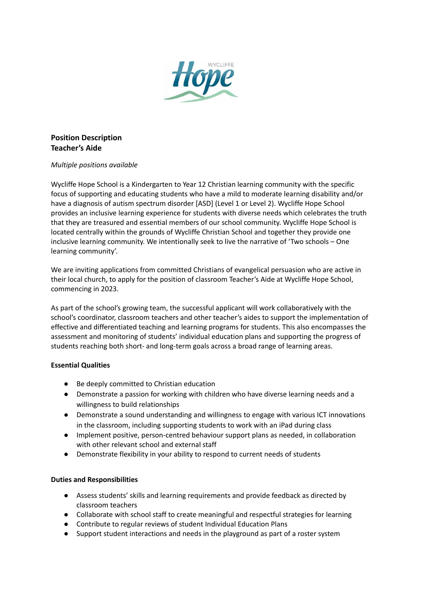

## **Position Description Teacher's Aide**

## *Multiple positions available*

Wycliffe Hope School is a Kindergarten to Year 12 Christian learning community with the specific focus of supporting and educating students who have a mild to moderate learning disability and/or have a diagnosis of autism spectrum disorder [ASD] (Level 1 or Level 2). Wycliffe Hope School provides an inclusive learning experience for students with diverse needs which celebrates the truth that they are treasured and essential members of our school community. Wycliffe Hope School is located centrally within the grounds of Wycliffe Christian School and together they provide one inclusive learning community. We intentionally seek to live the narrative of 'Two schools – One learning community'.

We are inviting applications from committed Christians of evangelical persuasion who are active in their local church, to apply for the position of classroom Teacher's Aide at Wycliffe Hope School, commencing in 2023.

As part of the school's growing team, the successful applicant will work collaboratively with the school's coordinator, classroom teachers and other teacher's aides to support the implementation of effective and differentiated teaching and learning programs for students. This also encompasses the assessment and monitoring of students' individual education plans and supporting the progress of students reaching both short- and long-term goals across a broad range of learning areas.

## **Essential Qualities**

- Be deeply committed to Christian education
- Demonstrate a passion for working with children who have diverse learning needs and a willingness to build relationships
- Demonstrate a sound understanding and willingness to engage with various ICT innovations in the classroom, including supporting students to work with an iPad during class
- Implement positive, person-centred behaviour support plans as needed, in collaboration with other relevant school and external staff
- Demonstrate flexibility in your ability to respond to current needs of students

## **Duties and Responsibilities**

- Assess students' skills and learning requirements and provide feedback as directed by classroom teachers
- Collaborate with school staff to create meaningful and respectful strategies for learning
- Contribute to regular reviews of student Individual Education Plans
- Support student interactions and needs in the playground as part of a roster system